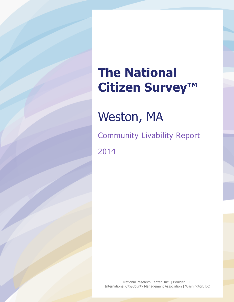# **The National Citizen Survey™**

Weston, MA

Community Livability Report 2014

National Research Center, Inc. | Boulder, CO International City/County Management Association | Washington, DC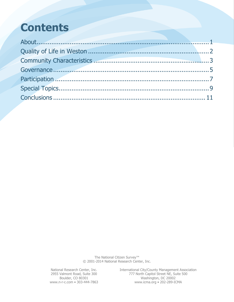# **Contents**

The National Citizen Survey™ © 2001-2014 National Research Center, Inc.

National Research Center, Inc. International City/County Management Association 2955 Valmont Road, Suite 300 777 North Capitol Street NE, Suite 500 Boulder, CO 80301 Washington, DC 20002 www.n-r-c.com • 303-444-7863 www.icma.org • 202-289-ICMA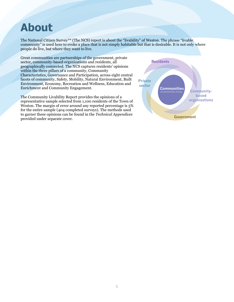### <span id="page-2-0"></span>**About**

The National Citizen Survey™ (The NCS) report is about the "livability" of Weston. The phrase "livable community" is used here to evoke a place that is not simply habitable but that is desirable. It is not only where people do live, but where they want to live.

Great communities are partnerships of the government, private sector, community-based organizations and residents, all geographically connected. The NCS captures residents' opinions within the three pillars of a community, Community Characteristics, Governance and Participation, across eight central facets of community, Safety, Mobility, Natural Environment, Built Environment, Economy, Recreation and Wellness, Education and Enrichment and Community Engagement.

The Community Livability Report provides the opinions of a representative sample selected from 1,100 residents of the Town of Weston. The margin of error around any reported percentage is 5% for the entire sample (404 completed surveys). The methods used to garner these opinions can be found in the *Technical Appendices* provided under separate cover.

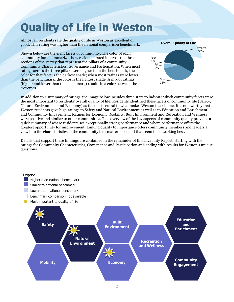# <span id="page-3-0"></span>**Quality of Life in Weston**

Almost all residents rate the quality of life in Weston as excellent or good. This rating was higher than the national comparison benchmark.

Shown below are the eight facets of community. The color of each community facet summarizes how residents rated it across the three sections of the survey that represent the pillars of a community – Community Characteristics, Governance and Participation. When most ratings across the three pillars were higher than the benchmark, the color for that facet is the darkest shade; when most ratings were lower than the benchmark, the color is the lightest shade. A mix of ratings (higher and lower than the benchmark) results in a color between the extremes.



In addition to a summary of ratings, the image below includes three stars to indicate which community facets were the most important to residents' overall quality of life. Residents identified these facets of community life (Safety, Natural Environment and Economy) as the most central to what makes Weston their home. It is noteworthy that Weston residents gave high ratings to Safety and Natural Environment as well as to Education and Enrichment and Community Engagement. Ratings for Economy, Mobility, Built Environment and Recreation and Wellness were positive and similar to other communities. This overview of the key aspects of community quality provides a quick summary of where residents see exceptionally strong performance and where performance offers the greatest opportunity for improvement. Linking quality to importance offers community members and leaders a view into the characteristics of the community that matter most and that seem to be working best.

Details that support these findings are contained in the remainder of this Livability Report, starting with the ratings for Community Characteristics, Governance and Participation and ending with results for Weston's unique questions.

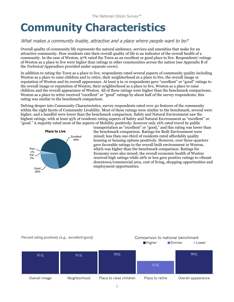# <span id="page-4-0"></span>**Community Characteristics**

### What makes a community livable, attractive and a place where people want to be?

Overall quality of community life represents the natural ambience, services and amenities that make for an attractive community. How residents rate their overall quality of life is an indicator of the overall health of a community. In the case of Weston, 97% rated the Town as an excellent or good place to live. Respondents' ratings of Weston as a place to live were higher than ratings in other communities across the nation (see Appendix B of the *Technical Appendices* provided under separate cover).

In addition to rating the Town as a place to live, respondents rated several aspects of community quality including Weston as a place to raise children and to retire, their neighborhood as a place to live, the overall image or reputation of Weston and its overall appearance. At least 9 in 10 respondents gave "excellent" or "good" ratings to the overall image or reputation of Weston, their neighborhood as a place to live, Weston as a place to raise children and the overall appearance of Weston. All of these ratings were higher than the benchmark comparisons. Weston as a place to retire received "excellent" or "good" ratings by about half of the survey respondents; this rating was similar to the benchmark comparison.

Delving deeper into Community Characteristics, survey respondents rated over 40 features of the community within the eight facets of Community Livability. Most of these ratings were similar to the benchmark, several were higher, and a handful were lower than the benchmark comparison. Safety and Natural Environment saw the highest ratings, with at least 95% of residents rating aspects of Safety and Natural Environment as "excellent" or "good." A majority rated most of the aspects of Mobility positively; however only 16% rated travel by public



transportation as "excellent" or "good," and this rating was lower than the benchmark comparison. Ratings for Built Environment were mixed; less than one-third of residents rated affordably quality housing or housing options positively. However, over three-quarters gave favorable ratings to the overall built environment in Weston, which was higher than the benchmark comparison. Ratings for Economy were also mixed; the overall economic health of Weston received high ratings while 26% or less gave positive ratings to vibrant downtown/commercial area, cost of living, shopping opportunities and employment opportunities.

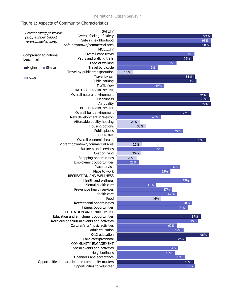#### Figure 1: Aspects of Community Characteristics





96%

97% 96% 95%

98%

98%

99%

83% 81%

79%

81%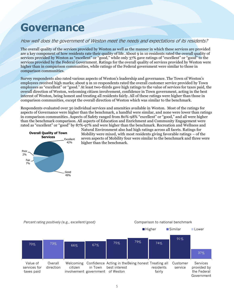### <span id="page-6-0"></span>**Governance**

### How well does the government of Weston meet the needs and expectations of its residents?

The overall quality of the services provided by Weston as well as the manner in which these services are provided are a key component of how residents rate their quality of life. About 9 in 10 residents rated the overall quality of services provided by Weston as "excellent" or "good," while only 37% gave ratings of "excellent" or "good" to the services provided by the Federal Government. Ratings for the overall quality of services provided by Weston were higher than in comparison communities, while ratings of the Federal government were similar to those in comparison communities.

Survey respondents also rated various aspects of Weston's leadership and governance. The Town of Weston's employees received high marks; about 9 in 10 respondents rated the overall customer service provided by Town employees as "excellent" or "good." At least two-thirds gave high ratings to the value of services for taxes paid, the overall direction of Weston, welcoming citizen involvement, confidence in Town government, acting in the best interest of Weston, being honest and treating all residents fairly. All of these ratings were higher than those in comparison communities, except the overall direction of Weston which was similar to the benchmark.

Respondents evaluated over 30 individual services and amenities available in Weston. Most of the ratings for aspects of Governance were higher than the benchmark, a handful were similar, and none were lower than ratings in comparison communities. Aspects of Safety ranged from 80%-98% "excellent" or "good," and all were higher than the benchmark comparison. All aspects of Education and Enrichment and Community Engagement were rated as "excellent" or "good" by 87%-97% and were higher than the benchmark. Recreation and Wellness and



Natural Environment also had high ratings across all facets. Ratings for Mobility were mixed, with most residents giving favorable ratings – of the seven aspects of Mobility four were similar to the benchmark and three were higher than the benchmark.

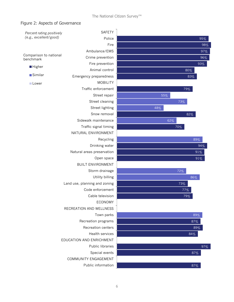### Figure 2: Aspects of Governance

| (e.g., excellent/good)<br>Police<br>95%<br>Fire<br>98%<br>Ambulance/EMS<br>97%<br>Comparison to national<br>Crime prevention<br>96%<br>benchmark<br>Fire prevention<br>93%<br><b>Higher</b><br>Animal control<br>80%<br>Similar<br>Emergency preparedness<br>83%<br><b>MOBILITY</b><br><b>Lower</b><br>Traffic enforcement<br>79%<br>Street repair<br>55%<br>Street cleaning<br>73%<br>Street lighting<br>48%<br>Snow removal<br>82%<br>Sidewalk maintenance<br>62%<br>Traffic signal timing<br>70%<br>NATURAL ENVIRONMENT<br>Recycling<br>89%<br>Drinking water<br>94%<br>Natural areas preservation<br>91%<br>Open space<br>91%<br><b>BUILT ENVIRONMENT</b><br>Storm drainage<br>72%<br>Utility billing<br>86%<br>Land use, planning and zoning<br>73%<br>Code enforcement<br>77%<br>Cable television<br>79%<br><b>ECONOMY</b><br>RECREATION AND WELLNESS<br>Town parks<br>89%<br>Recreation programs<br>87%<br>Recreation centers<br>89%<br>Health services<br>84%<br>EDUCATION AND ENRICHMENT<br>Public libraries<br>97%<br>Special events<br>87%<br>COMMUNITY ENGAGEMENT<br>Public information<br>87% | Percent rating positively | SAFETY |  |  |
|------------------------------------------------------------------------------------------------------------------------------------------------------------------------------------------------------------------------------------------------------------------------------------------------------------------------------------------------------------------------------------------------------------------------------------------------------------------------------------------------------------------------------------------------------------------------------------------------------------------------------------------------------------------------------------------------------------------------------------------------------------------------------------------------------------------------------------------------------------------------------------------------------------------------------------------------------------------------------------------------------------------------------------------------------------------------------------------------------------|---------------------------|--------|--|--|
|                                                                                                                                                                                                                                                                                                                                                                                                                                                                                                                                                                                                                                                                                                                                                                                                                                                                                                                                                                                                                                                                                                            |                           |        |  |  |
|                                                                                                                                                                                                                                                                                                                                                                                                                                                                                                                                                                                                                                                                                                                                                                                                                                                                                                                                                                                                                                                                                                            |                           |        |  |  |
|                                                                                                                                                                                                                                                                                                                                                                                                                                                                                                                                                                                                                                                                                                                                                                                                                                                                                                                                                                                                                                                                                                            |                           |        |  |  |
|                                                                                                                                                                                                                                                                                                                                                                                                                                                                                                                                                                                                                                                                                                                                                                                                                                                                                                                                                                                                                                                                                                            |                           |        |  |  |
|                                                                                                                                                                                                                                                                                                                                                                                                                                                                                                                                                                                                                                                                                                                                                                                                                                                                                                                                                                                                                                                                                                            |                           |        |  |  |
|                                                                                                                                                                                                                                                                                                                                                                                                                                                                                                                                                                                                                                                                                                                                                                                                                                                                                                                                                                                                                                                                                                            |                           |        |  |  |
|                                                                                                                                                                                                                                                                                                                                                                                                                                                                                                                                                                                                                                                                                                                                                                                                                                                                                                                                                                                                                                                                                                            |                           |        |  |  |
|                                                                                                                                                                                                                                                                                                                                                                                                                                                                                                                                                                                                                                                                                                                                                                                                                                                                                                                                                                                                                                                                                                            |                           |        |  |  |
|                                                                                                                                                                                                                                                                                                                                                                                                                                                                                                                                                                                                                                                                                                                                                                                                                                                                                                                                                                                                                                                                                                            |                           |        |  |  |
|                                                                                                                                                                                                                                                                                                                                                                                                                                                                                                                                                                                                                                                                                                                                                                                                                                                                                                                                                                                                                                                                                                            |                           |        |  |  |
|                                                                                                                                                                                                                                                                                                                                                                                                                                                                                                                                                                                                                                                                                                                                                                                                                                                                                                                                                                                                                                                                                                            |                           |        |  |  |
|                                                                                                                                                                                                                                                                                                                                                                                                                                                                                                                                                                                                                                                                                                                                                                                                                                                                                                                                                                                                                                                                                                            |                           |        |  |  |
|                                                                                                                                                                                                                                                                                                                                                                                                                                                                                                                                                                                                                                                                                                                                                                                                                                                                                                                                                                                                                                                                                                            |                           |        |  |  |
|                                                                                                                                                                                                                                                                                                                                                                                                                                                                                                                                                                                                                                                                                                                                                                                                                                                                                                                                                                                                                                                                                                            |                           |        |  |  |
|                                                                                                                                                                                                                                                                                                                                                                                                                                                                                                                                                                                                                                                                                                                                                                                                                                                                                                                                                                                                                                                                                                            |                           |        |  |  |
|                                                                                                                                                                                                                                                                                                                                                                                                                                                                                                                                                                                                                                                                                                                                                                                                                                                                                                                                                                                                                                                                                                            |                           |        |  |  |
|                                                                                                                                                                                                                                                                                                                                                                                                                                                                                                                                                                                                                                                                                                                                                                                                                                                                                                                                                                                                                                                                                                            |                           |        |  |  |
|                                                                                                                                                                                                                                                                                                                                                                                                                                                                                                                                                                                                                                                                                                                                                                                                                                                                                                                                                                                                                                                                                                            |                           |        |  |  |
|                                                                                                                                                                                                                                                                                                                                                                                                                                                                                                                                                                                                                                                                                                                                                                                                                                                                                                                                                                                                                                                                                                            |                           |        |  |  |
|                                                                                                                                                                                                                                                                                                                                                                                                                                                                                                                                                                                                                                                                                                                                                                                                                                                                                                                                                                                                                                                                                                            |                           |        |  |  |
|                                                                                                                                                                                                                                                                                                                                                                                                                                                                                                                                                                                                                                                                                                                                                                                                                                                                                                                                                                                                                                                                                                            |                           |        |  |  |
|                                                                                                                                                                                                                                                                                                                                                                                                                                                                                                                                                                                                                                                                                                                                                                                                                                                                                                                                                                                                                                                                                                            |                           |        |  |  |
|                                                                                                                                                                                                                                                                                                                                                                                                                                                                                                                                                                                                                                                                                                                                                                                                                                                                                                                                                                                                                                                                                                            |                           |        |  |  |
|                                                                                                                                                                                                                                                                                                                                                                                                                                                                                                                                                                                                                                                                                                                                                                                                                                                                                                                                                                                                                                                                                                            |                           |        |  |  |
|                                                                                                                                                                                                                                                                                                                                                                                                                                                                                                                                                                                                                                                                                                                                                                                                                                                                                                                                                                                                                                                                                                            |                           |        |  |  |
|                                                                                                                                                                                                                                                                                                                                                                                                                                                                                                                                                                                                                                                                                                                                                                                                                                                                                                                                                                                                                                                                                                            |                           |        |  |  |
|                                                                                                                                                                                                                                                                                                                                                                                                                                                                                                                                                                                                                                                                                                                                                                                                                                                                                                                                                                                                                                                                                                            |                           |        |  |  |
|                                                                                                                                                                                                                                                                                                                                                                                                                                                                                                                                                                                                                                                                                                                                                                                                                                                                                                                                                                                                                                                                                                            |                           |        |  |  |
|                                                                                                                                                                                                                                                                                                                                                                                                                                                                                                                                                                                                                                                                                                                                                                                                                                                                                                                                                                                                                                                                                                            |                           |        |  |  |
|                                                                                                                                                                                                                                                                                                                                                                                                                                                                                                                                                                                                                                                                                                                                                                                                                                                                                                                                                                                                                                                                                                            |                           |        |  |  |
|                                                                                                                                                                                                                                                                                                                                                                                                                                                                                                                                                                                                                                                                                                                                                                                                                                                                                                                                                                                                                                                                                                            |                           |        |  |  |
|                                                                                                                                                                                                                                                                                                                                                                                                                                                                                                                                                                                                                                                                                                                                                                                                                                                                                                                                                                                                                                                                                                            |                           |        |  |  |
|                                                                                                                                                                                                                                                                                                                                                                                                                                                                                                                                                                                                                                                                                                                                                                                                                                                                                                                                                                                                                                                                                                            |                           |        |  |  |
|                                                                                                                                                                                                                                                                                                                                                                                                                                                                                                                                                                                                                                                                                                                                                                                                                                                                                                                                                                                                                                                                                                            |                           |        |  |  |
|                                                                                                                                                                                                                                                                                                                                                                                                                                                                                                                                                                                                                                                                                                                                                                                                                                                                                                                                                                                                                                                                                                            |                           |        |  |  |
|                                                                                                                                                                                                                                                                                                                                                                                                                                                                                                                                                                                                                                                                                                                                                                                                                                                                                                                                                                                                                                                                                                            |                           |        |  |  |
|                                                                                                                                                                                                                                                                                                                                                                                                                                                                                                                                                                                                                                                                                                                                                                                                                                                                                                                                                                                                                                                                                                            |                           |        |  |  |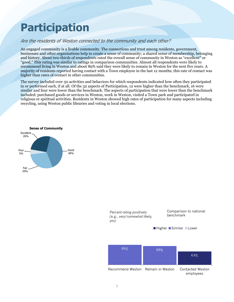## <span id="page-8-0"></span>**Participation**

### Are the residents of Weston connected to the community and each other?

An engaged community is a livable community. The connections and trust among residents, government, businesses and other organizations help to create a sense of community; a shared sense of membership, belonging and history. About two-thirds of respondents rated the overall sense of community in Weston as "excellent" or "good." This rating was similar to ratings in comparison communities. Almost all respondents were likely to recommend living in Weston and about 89% said they were likely to remain in Weston for the next five years. A majority of residents reported having contact with a Town employee in the last 12 months; this rate of contact was higher than rates of contact in other communities.

The survey included over 30 activities and behaviors for which respondents indicated how often they participated in or performed each, if at all. Of the 32 aspects of Participation, 12 were higher than the benchmark, 16 were similar and four were lower than the benchmark. The aspects of participation that were lower than the benchmark included: purchased goods or services in Weston, work in Weston, visited a Town park and participated in religious or spiritual activities. Residents in Weston showed high rates of participation for many aspects including recycling, using Weston public libraries and voting in local elections.



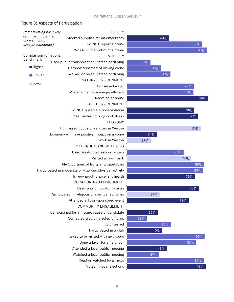#### Figure 3: Aspects of Participation

| SAFETY                           |     |        |
|----------------------------------|-----|--------|
| ed supplies for an emergency     | 49% |        |
| Did NOT report a crime           |     | 87%    |
| as NOT the victim of a crime     |     | 93%    |
| <b>MOBILITY</b>                  |     |        |
| nsportation instead of driving   | 27% |        |
| boled instead of driving alone   | 39% |        |
| ed or biked instead of driving   |     | 50%    |
| NATURAL ENVIRONMENT              |     |        |
| Conserved water                  |     | 77%    |
| e home more energy efficient     |     | 77%    |
| Recycled at home                 |     | 94%    |
| <b>BUILT ENVIRONMENT</b>         |     |        |
| NOT observe a code violation     |     | 78%    |
| OT under housing cost stress     |     | 82%    |
| <b>ECONOMY</b>                   |     |        |
| I goods or services in Weston    |     | 86%    |
| ve positive impact on income     | 34% |        |
| Work in Weston                   | 27% |        |
| ECREATION AND WELLNESS           |     |        |
| ed Weston recreation centers     |     | 65%    |
| Visited a Town park              |     | 74%    |
| tions of fruits and vegetables   |     | 89%    |
| or vigorous physical activity    |     | 89%    |
| very good to excellent health    |     | 79%    |
| <b>JCATION AND ENRICHMENT</b>    |     |        |
| Used Weston public libraries     |     | 83%    |
| eligious or spiritual activities | 37% |        |
| ded a Town-sponsored event       |     | 71%    |
| COMMUNITY ENGAGEMENT             |     |        |
| an issue, cause or candidate     | 35% |        |
| cted Weston elected officials    | 23% |        |
| Volunteered                      |     | $51\%$ |
| Participated in a club           | 40% |        |
| d to or visited with neighbors   |     | 90%    |
| Done a favor for a neighbor      |     | 80%    |
| ended a local public meeting     | 46% |        |
| atched a local public meeting    | 37% |        |
| Read or watched local news       |     | 89%    |
| Voted in local elections         |     | 91%    |

Watched a local public meeting Attended a local public meeting Talked Conta Campaigned for Atten Participated in re EDU In very good to excellent health Participated in moderate Ate 5 port Used Weston recreation centers RECREATION AND WELLNESS Economy will hav Purchased NOT under housing cost stress Did  $M$ ade Walke Carpo Used public tran Was NOT the victim of a crime Stocke **Higher Similar Lower** *Percent rating positively (e.g., yes, more than once a month, always/sometimes)* Comparison to national benchmark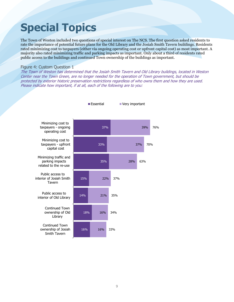# <span id="page-10-0"></span>**Special Topics**

The Town of Weston included two questions of special interest on The NCS. The first question asked residents to rate the importance of potential future plans for the Old Library and the Josiah Smith Tavern buildings. Residents rated minimizing cost to taxpayers (either via ongoing operating cost or upfront capital cost) as most important. A majority also rated minimizing traffic and parking impacts as important. Only about a third of residents rated public access to the buildings and continued Town ownership of the buildings as important.

#### Figure 4: Custom Question 1

The Town of Weston has determined that the Josiah Smith Tavern and Old Library buildings, located in Weston Center near the Town Green, are no longer needed for the operation of Town government, but should be protected by exterior historic preservation restrictions regardless of who owns them and how they are used. Please indicate how important, if at all, each of the following are to you:

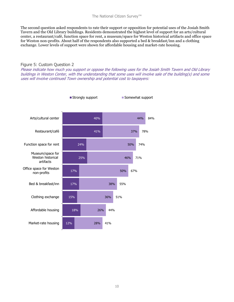The second question asked respondents to rate their support or opposition for potential uses of the Josiah Smith Tavern and the Old Library buildings. Residents demonstrated the highest level of support for an arts/cultural center, a restaurant/café, function space for rent, a museum/space for Weston historical artifacts and office space for Weston non-profits. About half of the respondents also supported a bed & breakfast/inn and a clothing exchange. Lower levels of support were shown for affordable housing and market-rate housing.

#### Figure 5: Custom Question 2

Please indicate how much you support or oppose the following uses for the Josiah Smith Tavern and Old Library buildings in Weston Center, with the understanding that some uses will involve sale of the building(s) and some uses will involve continued Town ownership and potential cost to taxpayers: